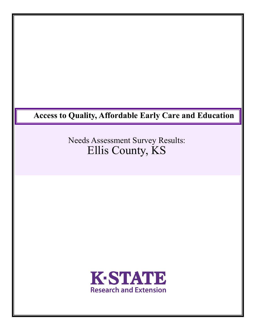# **Access to Quality, Affordable Early Care and Education**

Needs Assessment Survey Results: Ellis County, KS

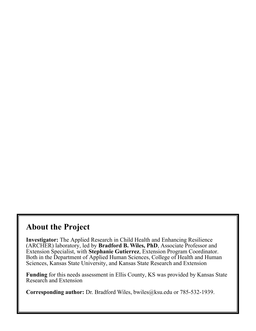## **About the Project**

**Investigator:** The Applied Research in Child Health and Enhancing Resilience (ARCHER) laboratory, led by **Bradford B. Wiles, PhD**, Associate Professor and Extension Specialist, with **Stephanie Gutierrez**, Extension Program Coordinator. Both in the Department of Applied Human Sciences, College of Health and Human Sciences, Kansas State University, and Kansas State Research and Extension

**Funding** for this needs assessment in Ellis County, KS was provided by Kansas State Research and Extension

**Corresponding author:** Dr. Bradford Wiles, bwiles@ksu.edu or 785-532-1939.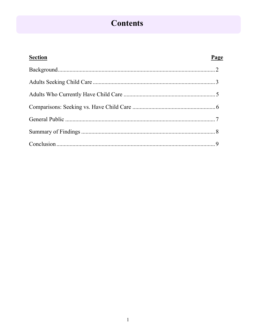# **Contents**

| <b>Section</b> | Page |
|----------------|------|
|                |      |
|                |      |
|                |      |
|                |      |
|                |      |
|                |      |
|                |      |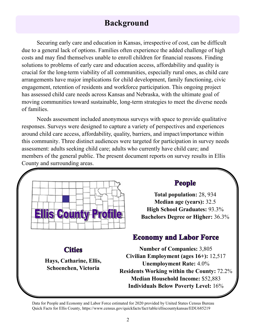# **Background**

Securing early care and education in Kansas, irrespective of cost, can be difficult due to a general lack of options. Families often experience the added challenge of high costs and may find themselves unable to enroll children for financial reasons. Finding solutions to problems of early care and education access, affordability and quality is crucial for the long-term viability of all communities, especially rural ones, as child care arrangements have major implications for child development, family functioning, civic engagement, retention of residents and workforce participation. This ongoing project has assessed child care needs across Kansas and Nebraska, with the ultimate goal of moving communities toward sustainable, long-term strategies to meet the diverse needs of families.

Needs assessment included anonymous surveys with space to provide qualitative responses. Surveys were designed to capture a variety of perspectives and experiences around child care access, affordability, quality, barriers, and impact/importance within this community. Three distinct audiences were targeted for participation in survey needs assessment: adults seeking child care; adults who currently have child care; and members of the general public. The present document reports on survey results in Ellis County and surrounding areas.



### **Cities**

**Hays, Catharine, Ellis, Schoenchen, Victoria**

## **People**

**Total population:** 28, 934 **Median age (years):** 32.5 **High School Graduates:** 93.3% **Bachelors Degree or Higher:** 36.3%

### **Economy and Labor Force**

**Number of Companies:** 3,805 **Civilian Employment (ages 16+):** 12,517 **Unemployment Rate:** 4.0% **Residents Working within the County:** 72.2% **Median Household Income:** \$52,883 **Individuals Below Poverty Level:** 16%

Data for People and Economy and Labor Force estimated for 2020 provided by United States Census Bureau Quick Facts for Ellis County, https://www.census.gov/quickfacts/fact/table/elliscountykansas/EDU685219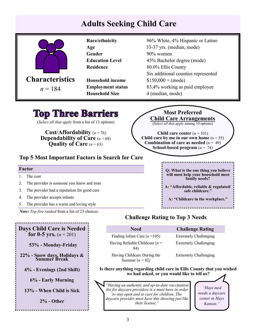# **Adults Seeking Child Care**

|                                       | Race/ethnicity          | 96% White, 4% Hispanic or Latino    |
|---------------------------------------|-------------------------|-------------------------------------|
|                                       | Age                     | 33-37 yrs. (median, mode)           |
|                                       | Gender                  | 90% women                           |
|                                       | <b>Education Level</b>  | 45% Bachelor degree (mode)          |
|                                       | <b>Residence</b>        | 80.0% Ellis County                  |
|                                       |                         | Six additional counties represented |
| <b>Characteristics</b>                | <b>Household income</b> | $$150,000 + (mode)$                 |
| <b>Employment status</b><br>$n = 184$ |                         | 83.4% working as paid employee      |
|                                       | <b>Household Size</b>   | 4 (median, mode)                    |
|                                       |                         |                                     |

# **Top Three Barriers**

(*Select all that apply* from a list of 13 options)

**Cost/Affordability** (*n* = 76) **Dependability of Care**  $(n = 68)$ **Quality of Care** (*n* = 63)

### **Top 5 Most Important Factors in Search for Care**

#### **Factor**

- 1. The cost
- 2. The provider is someone you know and trust
- 3. The provider had a reputation for good care
- 4. The provider accepts infants
- 5. The provider has a warm and loving style

*Note: Top five ranked* from a list of 23 choices.

**Most Preferred Child Care Arrangements** (*Select all that apply* among 10 options)

**Child care center**  $(n = 101)$ **Child care by me in our own home**  $(n = 55)$ **Combination of care as needed**  $(n = 49)$ **School-based program**  $(n = 74)$ 

> **Q: What is the one thing you believe will most help your household meet family needs?**

**A: "Affordable, reliable & regulated/ safe childcare."** 

**A: "Childcare in the workplace."**

**Days Child Care is Needed for 0-5 yrs.**  $(n = 201)$  **53% - Monday-Friday 22% - Snow days, Holidays & Summer Break 4% - Evenings (2nd Shift) 6% - Early Morning 13% - When Child is Sick 2% - Other** 

### **Challenge Rating to Top 3 Needs**

| <b>Need</b>                                      | <b>Challenge Rating</b>      |
|--------------------------------------------------|------------------------------|
| Finding Infant Care $(n=105)$                    | <b>Extremely Challenging</b> |
| Having Reliable Childcare ( $n =$<br>84)         | <b>Extremely Challenging</b> |
| Having Childcare During the<br>Summer $(n = 82)$ | <b>Extremely Challenging</b> |

**Is there anything regarding child care in Ellis County that you wished we had asked, or you would like to tell us?**

*"Having an authentic and up-to-date vaccination list for daycare providers is a must have in order to stay open and to care for children. The daycare provider must have this showing just like their license."* 

*"Hays med needs a daycare center in Hays Kansas."*

#### 3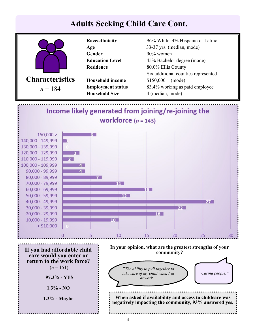

4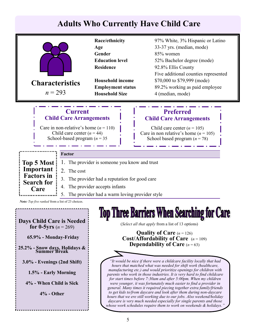# **Adults Who Currently Have Child Care**

|                                                                                                                                                                         |                                         | Race/ethnicity                                    | 97% White, 3% Hispanic or Latino                                                                                                          |
|-------------------------------------------------------------------------------------------------------------------------------------------------------------------------|-----------------------------------------|---------------------------------------------------|-------------------------------------------------------------------------------------------------------------------------------------------|
|                                                                                                                                                                         |                                         | Age                                               | 33-37 yrs. (median, mode)                                                                                                                 |
|                                                                                                                                                                         |                                         | Gender                                            | 85% women                                                                                                                                 |
|                                                                                                                                                                         |                                         | <b>Education level</b>                            | 52% Bachelor degree (mode)                                                                                                                |
|                                                                                                                                                                         |                                         | <b>Residence</b>                                  | 92.8% Ellis County                                                                                                                        |
|                                                                                                                                                                         |                                         |                                                   | Five additional counties represented                                                                                                      |
| <b>Characteristics</b>                                                                                                                                                  |                                         | <b>Household income</b>                           | \$70,000 to \$79,999 (mode)                                                                                                               |
| $n = 293$                                                                                                                                                               |                                         | <b>Employment status</b><br><b>Household Size</b> | 89.2% working as paid employee                                                                                                            |
|                                                                                                                                                                         |                                         |                                                   | 4 (median, mode)                                                                                                                          |
|                                                                                                                                                                         |                                         |                                                   |                                                                                                                                           |
|                                                                                                                                                                         | <b>Current</b>                          |                                                   | <b>Preferred</b>                                                                                                                          |
|                                                                                                                                                                         | <b>Child Care Arrangements</b>          |                                                   | <b>Child Care Arrangements</b>                                                                                                            |
|                                                                                                                                                                         | Care in non-relative's home $(n = 110)$ |                                                   | Child care center $(n = 105)$                                                                                                             |
|                                                                                                                                                                         | Child care center $(n = 44)$            |                                                   | Care in non relative's home $(n = 105)$                                                                                                   |
|                                                                                                                                                                         | School-based program ( $n = 35$ )       |                                                   | School based program $(n = 78)$                                                                                                           |
|                                                                                                                                                                         |                                         |                                                   |                                                                                                                                           |
|                                                                                                                                                                         | Factor                                  |                                                   |                                                                                                                                           |
| <b>Top 5 Most</b>                                                                                                                                                       |                                         | The provider is someone you know and trust        |                                                                                                                                           |
| Important<br>2. The cost                                                                                                                                                |                                         |                                                   |                                                                                                                                           |
| <b>Factors in</b>                                                                                                                                                       | 3.                                      | The provider had a reputation for good care       |                                                                                                                                           |
| <b>Search for</b>                                                                                                                                                       | 4.                                      | The provider accepts infants                      |                                                                                                                                           |
| Care                                                                                                                                                                    | 5.                                      | The provider had a warm loving provider style     |                                                                                                                                           |
| Note: Top five ranked from a list of 23 choices.                                                                                                                        |                                         |                                                   |                                                                                                                                           |
|                                                                                                                                                                         |                                         |                                                   |                                                                                                                                           |
|                                                                                                                                                                         |                                         |                                                   | Top Three Barriers When Searching for (                                                                                                   |
| <b>Days Child Care is Needed</b>                                                                                                                                        |                                         | Ш                                                 | σ<br>(Select all that apply from a list of 13 options)                                                                                    |
| for 0-5yrs $(n = 269)$                                                                                                                                                  |                                         |                                                   |                                                                                                                                           |
| 65.9% - Monday-Friday                                                                                                                                                   |                                         |                                                   | <b>Quality of Care</b> $(n = 126)$<br><b>Cost/Affordability of Care</b> $(n = 109)$                                                       |
|                                                                                                                                                                         |                                         |                                                   | <b>Dependability of Care</b> $(n=63)$                                                                                                     |
| 25.2% - Snow days, Holidays & Summer Break                                                                                                                              |                                         |                                                   |                                                                                                                                           |
|                                                                                                                                                                         |                                         |                                                   | "It would be nice if there were a childcare facility locally that had                                                                     |
| $3.0\%$ - Evenings (2nd Shift)<br>hours that matched what was needed for shift work (healthcare,<br>manufacturing etc.) and would prioritize openings for children with |                                         |                                                   |                                                                                                                                           |
| 1.5% - Early Morning                                                                                                                                                    |                                         |                                                   | parents who work in those industries. It is very hard to find childcare                                                                   |
| for start times before 7:30am and after 5:00pm. When my children<br>4% - When Child is Sick<br>were younger, it was fortunately much easier to find a provider in       |                                         |                                                   |                                                                                                                                           |
| general. Many times it required piecing together extra family/friends<br>to get kids to/from daycare and look after them during non-daycare<br>$4%$ - Other             |                                         |                                                   |                                                                                                                                           |
|                                                                                                                                                                         |                                         |                                                   | hours that we ere still working due to our jobs. Also weekend/holiday                                                                     |
|                                                                                                                                                                         |                                         |                                                   | daycare is very much needed especially for single parents and those<br>whose work schedules require them to work on weekends & holidays.' |
|                                                                                                                                                                         |                                         |                                                   |                                                                                                                                           |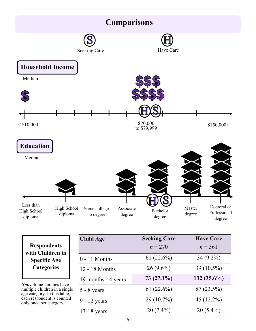

| <b>Respondents</b>  |
|---------------------|
| with Children in    |
| <b>Specific Age</b> |
| <b>Categories</b>   |
|                     |

*Note.* Some families have multiple children in a single age category. In this table, each respondent is counted only once per category.

| <b>Child Age</b>    | <b>Seeking Care</b><br>$n = 270$ | <b>Have Care</b><br>$n = 361$ |
|---------------------|----------------------------------|-------------------------------|
| $0 - 11$ Months     | 61(22.6%)                        | $34(9.2\%)$                   |
| 12 - 18 Months      | $26(9.6\%)$                      | 39 (10.5%)                    |
| 19 months - 4 years | $73(27.1\%)$                     | $132(35.6\%)$                 |
| $5 - 8$ years       | 61(22.6%)                        | $87(23.5\%)$                  |
| $9 - 12$ years      | 29 (10.7%)                       | 45 $(12.2\%)$                 |
| $13-18$ years       | $20(7.4\%)$                      | $20(5.4\%)$                   |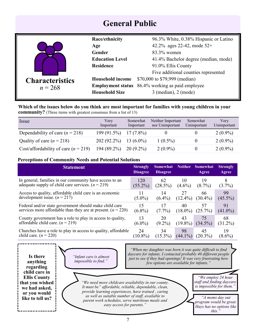## **General Public**

| Race/ethnicity<br>Age  |                          | 96.3% White, 0.38% Hispanic or Latino     |
|------------------------|--------------------------|-------------------------------------------|
|                        |                          | 42.2% ages 22-42, mode 52+                |
|                        | <b>Gender</b>            | 83.3% women                               |
|                        | <b>Education Level</b>   | 41.4% Bachelor degree (median, mode)      |
|                        | <b>Residence</b>         | 91.0% Ellis County                        |
|                        |                          | Five additional counties represented      |
| <b>Characteristics</b> | <b>Household income</b>  | \$70,000 to \$79,999 (median)             |
| $n = 268$              | <b>Employment status</b> | 86.4% working as paid employee            |
|                        | <b>Household Size</b>    | $3 \text{ (median)}$ , $2 \text{ (mode)}$ |

### **Which of the issues below do you think are most important for families with young children in your community?** (Three items with greatest consensus from a list of 13)

| <i>ssue</i>                            | Very<br>Important | Somewhat<br>Important | Neither Important<br>nor Unimportant | Somewhat<br>Unimportant | Very<br>Unimportant |
|----------------------------------------|-------------------|-----------------------|--------------------------------------|-------------------------|---------------------|
| Dependability of care $(n = 218)$      | 199(91.5%)        | $17(7.8\%)$           |                                      |                         | $2(0.9\%)$          |
| Quality of care $(n = 218)$            | $202(92.2\%)$     | 13 $(6.0\%)$          | $1(0.5\%)$                           |                         | $2(0.9\%)$          |
| Cost/affordability of care $(n = 219)$ | $194(89.2\%)$     | $20(9.2\%)$           | $2(0.9\%)$                           |                         | $2(0.9\%)$          |

### **Perceptions of Community Needs and Potential Solutions**

| <b>Statement</b>                                               | <b>Strongly</b><br><b>Disagree</b> | <b>Somewhat</b><br><b>Disagree</b> | <b>Neither</b> | <b>Somewhat</b><br>Agree | <b>Strongly</b><br>Agree |
|----------------------------------------------------------------|------------------------------------|------------------------------------|----------------|--------------------------|--------------------------|
| In general, families in our community have access to an        | 120                                | 62                                 | 10             | 19                       | 8                        |
| adequate supply of child care services. $(n = 219)$            | $(55.2\%)$                         | (28.5%)                            | $(4.6\%)$      | $(8.7\%)$                | $(3.7\%)$                |
| Access to quality, affordable child care is an economic        | 11                                 | 14                                 | 27             | 66                       | 99                       |
| development issue. $(n = 217)$                                 | $(5.0\%)$                          | $(6.4\%)$                          | $(12.4\%)$     | $(30.4\%)$               | $(45.5\%)$               |
| Federal and/or state government should make child care         | 15                                 | 17                                 | 40             | 57                       | 91                       |
| services more affordable than they are at present. $(n = 220)$ | $(6.8\%)$                          | $(7.7\%)$                          | $(18.0\%)$     | $(25.7\%)$               | $(41.0\%)$               |
| County government has a role to play in access to quality,     | 13                                 | 20                                 | 43             | 75                       | 68                       |
| affordable child care. $(n = 219)$                             | $(6.0\%)$                          | $(9.2\%)$                          | $(19.8\%)$     | $(34.5\%)$               | $(31.2\%)$               |
| Churches have a role to play in access to quality, affordable  | 24                                 | 34                                 | 98             | 45                       | 19                       |
| child care. $(n = 220)$                                        | $(10.8\%)$                         | $(15.3\%)$                         | $(44.1\%)$     | $(20.3\%)$               | $(8.6\%)$                |

**Is there anything regarding child care in Ellis County that you wished we had asked, or you would like to tell us?**

*"Infant care is almost impossible to find."*

*"When my daughter was born it was quite difficult to find daycare for infants. I contacted probably 40 different people just to see if they had openings! It was very frustrating how few options are available for infants."*

*"We need more childcare availability in our county. It must be" affordable, reliable, dependable, clean, provide learning experiences, have trained , caring as well as suitable number of staff, available to parent work schedules, serve nutritious meals and easy access for parents."*

*"We employ 24 hour staff and finding daycare is impossible for them."*

*"A moms day out program would be great. Hays has no options like this."*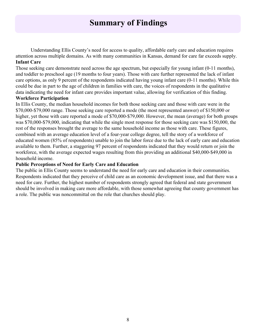## **Summary of Findings**

Understanding Ellis County's need for access to quality, affordable early care and education requires attention across multiple domains. As with many communities in Kansas, demand for care far exceeds supply. **Infant Care**

Those seeking care demonstrate need across the age spectrum, but especially for young infant (0-11 months), and toddler to preschool age (19 months to four years). Those with care further represented the lack of infant care options, as only 9 percent of the respondents indicated having young infant care (0-11 months). While this could be due in part to the age of children in families with care, the voices of respondents in the qualitative data indicating the need for infant care provides important value, allowing for verification of this finding.

### **Workforce Participation**

In Ellis County, the median household incomes for both those seeking care and those with care were in the \$70,000-\$79,000 range. Those seeking care reported a mode (the most represented answer) of \$150,000 or higher, yet those with care reported a mode of \$70,000-\$79,000. However, the mean (average) for both groups was \$70,000-\$79,000, indicating that while the single most response for those seeking care was \$150,000, the rest of the responses brought the average to the same household income as those with care. These figures, combined with an average education level of a four-year college degree, tell the story of a workforce of educated women (85% of respondents) unable to join the labor force due to the lack of early care and education available to them. Further, a staggering 97 percent of respondents indicated that they would return or join the workforce, with the average expected wages resulting from this providing an additional \$40,000-\$49,000 in household income.

### **Public Perceptions of Need for Early Care and Education**

The public in Ellis County seems to understand the need for early care and education in their communities. Respondents indicated that they perceive of child care as an economic development issue, and that there was a need for care. Further, the highest number of respondents strongly agreed that federal and state government should be involved in making care more affordable, with those somewhat agreeing that county government has a role. The public was noncommittal on the role that churches should play.